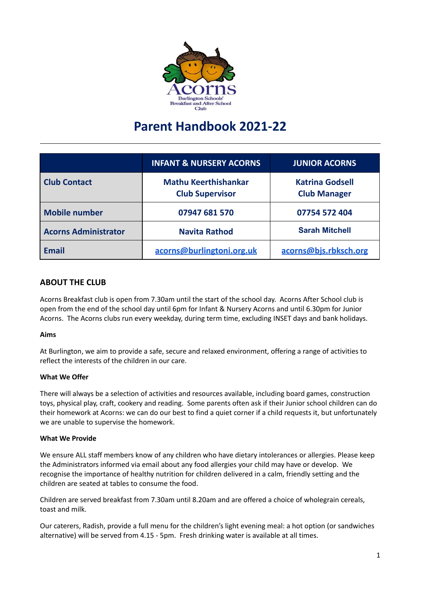

# **Parent Handbook 2021-22**

|                             | <b>INFANT &amp; NURSERY ACORNS</b>                    | <b>JUNIOR ACORNS</b>                          |
|-----------------------------|-------------------------------------------------------|-----------------------------------------------|
| <b>Club Contact</b>         | <b>Mathu Keerthishankar</b><br><b>Club Supervisor</b> | <b>Katrina Godsell</b><br><b>Club Manager</b> |
| <b>Mobile number</b>        | 07947 681 570                                         | 07754 572 404                                 |
| <b>Acorns Administrator</b> | <b>Navita Rathod</b>                                  | <b>Sarah Mitchell</b>                         |
| <b>Email</b>                | acorns@burlingtoni.org.uk                             | acorns@bjs.rbksch.org                         |

# **ABOUT THE CLUB**

Acorns Breakfast club is open from 7.30am until the start of the school day. Acorns After School club is open from the end of the school day until 6pm for Infant & Nursery Acorns and until 6.30pm for Junior Acorns. The Acorns clubs run every weekday, during term time, excluding INSET days and bank holidays.

# **Aims**

At Burlington, we aim to provide a safe, secure and relaxed environment, offering a range of activities to reflect the interests of the children in our care.

# **What We Offer**

There will always be a selection of activities and resources available, including board games, construction toys, physical play, craft, cookery and reading. Some parents often ask if their Junior school children can do their homework at Acorns: we can do our best to find a quiet corner if a child requests it, but unfortunately we are unable to supervise the homework.

#### **What We Provide**

We ensure ALL staff members know of any children who have dietary intolerances or allergies. Please keep the Administrators informed via email about any food allergies your child may have or develop. We recognise the importance of healthy nutrition for children delivered in a calm, friendly setting and the children are seated at tables to consume the food.

Children are served breakfast from 7.30am until 8.20am and are offered a choice of wholegrain cereals, toast and milk.

Our caterers, Radish, provide a full menu for the children's light evening meal: a hot option (or sandwiches alternative) will be served from 4.15 - 5pm. Fresh drinking water is available at all times.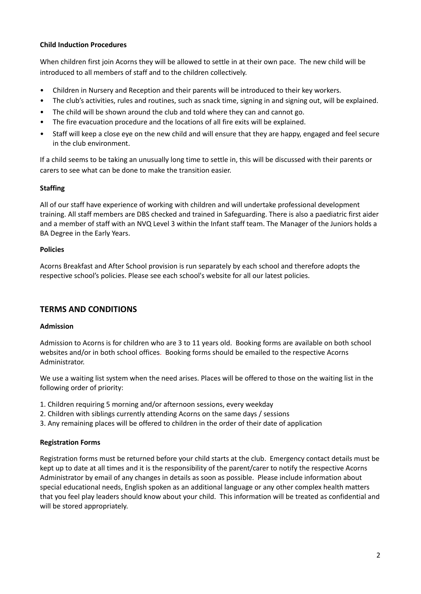# **Child Induction Procedures**

When children first join Acorns they will be allowed to settle in at their own pace. The new child will be introduced to all members of staff and to the children collectively.

- Children in Nursery and Reception and their parents will be introduced to their key workers.
- The club's activities, rules and routines, such as snack time, signing in and signing out, will be explained.
- The child will be shown around the club and told where they can and cannot go.
- The fire evacuation procedure and the locations of all fire exits will be explained.
- Staff will keep a close eye on the new child and will ensure that they are happy, engaged and feel secure in the club environment.

If a child seems to be taking an unusually long time to settle in, this will be discussed with their parents or carers to see what can be done to make the transition easier.

#### **Staffing**

All of our staff have experience of working with children and will undertake professional development training. All staff members are DBS checked and trained in Safeguarding. There is also a paediatric first aider and a member of staff with an NVQ Level 3 within the Infant staff team. The Manager of the Juniors holds a BA Degree in the Early Years.

#### **Policies**

Acorns Breakfast and After School provision is run separately by each school and therefore adopts the respective school's policies. Please see each school's website for all our latest policies.

# **TERMS AND CONDITIONS**

#### **Admission**

Admission to Acorns is for children who are 3 to 11 years old. Booking forms are available on both school websites and/or in both school offices. Booking forms should be emailed to the respective Acorns Administrator.

We use a waiting list system when the need arises. Places will be offered to those on the waiting list in the following order of priority:

- 1. Children requiring 5 morning and/or afternoon sessions, every weekday
- 2. Children with siblings currently attending Acorns on the same days / sessions
- 3. Any remaining places will be offered to children in the order of their date of application

# **Registration Forms**

Registration forms must be returned before your child starts at the club. Emergency contact details must be kept up to date at all times and it is the responsibility of the parent/carer to notify the respective Acorns Administrator by email of any changes in details as soon as possible. Please include information about special educational needs, English spoken as an additional language or any other complex health matters that you feel play leaders should know about your child. This information will be treated as confidential and will be stored appropriately.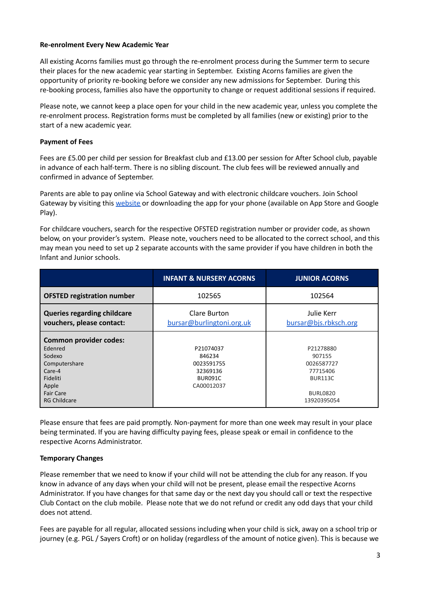#### **Re-enrolment Every New Academic Year**

All existing Acorns families must go through the re-enrolment process during the Summer term to secure their places for the new academic year starting in September. Existing Acorns families are given the opportunity of priority re-booking before we consider any new admissions for September. During this re-booking process, families also have the opportunity to change or request additional sessions if required.

Please note, we cannot keep a place open for your child in the new academic year, unless you complete the re-enrolment process. Registration forms must be completed by all families (new or existing) prior to the start of a new academic year.

## **Payment of Fees**

Fees are £5.00 per child per session for Breakfast club and £13.00 per session for After School club, payable in advance of each half-term. There is no sibling discount. The club fees will be reviewed annually and confirmed in advance of September.

Parents are able to pay online via School Gateway and with electronic childcare vouchers. Join School Gateway by visiting this [website](https://login.schoolgateway.com/0/auth/register) or downloading the app for your phone (available on App Store and Google Play).

For childcare vouchers, search for the respective OFSTED registration number or provider code, as shown below, on your provider's system. Please note, vouchers need to be allocated to the correct school, and this may mean you need to set up 2 separate accounts with the same provider if you have children in both the Infant and Junior schools.

|                                                                                                                        | <b>INFANT &amp; NURSERY ACORNS</b>                                            | <b>JUNIOR ACORNS</b>                                                               |
|------------------------------------------------------------------------------------------------------------------------|-------------------------------------------------------------------------------|------------------------------------------------------------------------------------|
| <b>OFSTED registration number</b>                                                                                      | 102565                                                                        | 102564                                                                             |
| <b>Queries regarding childcare</b><br>vouchers, please contact:                                                        | Clare Burton<br>bursar@burlingtoni.org.uk                                     | Julie Kerr<br>bursar@bjs.rbksch.org                                                |
| <b>Common provider codes:</b><br>Edenred<br>Sodexo<br>Computershare<br>Care-4<br>Fideliti<br>Apple<br><b>Fair Care</b> | P21074037<br>846234<br>0023591755<br>32369136<br><b>BUR091C</b><br>CA00012037 | P21278880<br>907155<br>0026587727<br>77715406<br><b>BUR113C</b><br><b>BURL0820</b> |
| <b>RG Childcare</b>                                                                                                    |                                                                               | 13920395054                                                                        |

Please ensure that fees are paid promptly. Non-payment for more than one week may result in your place being terminated. If you are having difficulty paying fees, please speak or email in confidence to the respective Acorns Administrator.

# **Temporary Changes**

Please remember that we need to know if your child will not be attending the club for any reason. If you know in advance of any days when your child will not be present, please email the respective Acorns Administrator. If you have changes for that same day or the next day you should call or text the respective Club Contact on the club mobile. Please note that we do not refund or credit any odd days that your child does not attend.

Fees are payable for all regular, allocated sessions including when your child is sick, away on a school trip or journey (e.g. PGL / Sayers Croft) or on holiday (regardless of the amount of notice given). This is because we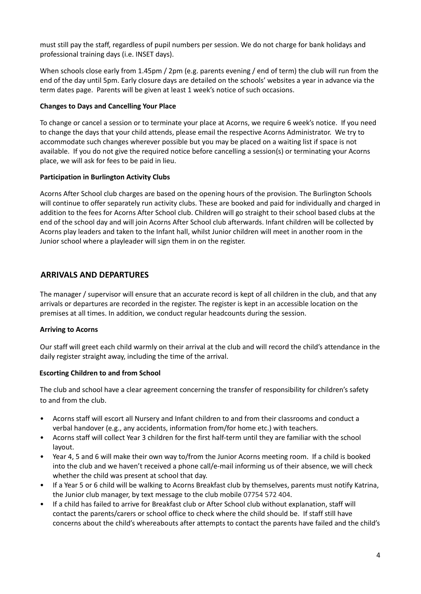must still pay the staff, regardless of pupil numbers per session. We do not charge for bank holidays and professional training days (i.e. INSET days).

When schools close early from 1.45pm / 2pm (e.g. parents evening / end of term) the club will run from the end of the day until 5pm. Early closure days are detailed on the schools' websites a year in advance via the term dates page. Parents will be given at least 1 week's notice of such occasions.

## **Changes to Days and Cancelling Your Place**

To change or cancel a session or to terminate your place at Acorns, we require 6 week's notice. If you need to change the days that your child attends, please email the respective Acorns Administrator. We try to accommodate such changes wherever possible but you may be placed on a waiting list if space is not available. If you do not give the required notice before cancelling a session(s) or terminating your Acorns place, we will ask for fees to be paid in lieu.

#### **Participation in Burlington Activity Clubs**

Acorns After School club charges are based on the opening hours of the provision. The Burlington Schools will continue to offer separately run activity clubs. These are booked and paid for individually and charged in addition to the fees for Acorns After School club. Children will go straight to their school based clubs at the end of the school day and will join Acorns After School club afterwards. Infant children will be collected by Acorns play leaders and taken to the Infant hall, whilst Junior children will meet in another room in the Junior school where a playleader will sign them in on the register.

# **ARRIVALS AND DEPARTURES**

The manager / supervisor will ensure that an accurate record is kept of all children in the club, and that any arrivals or departures are recorded in the register. The register is kept in an accessible location on the premises at all times. In addition, we conduct regular headcounts during the session.

# **Arriving to Acorns**

Our staff will greet each child warmly on their arrival at the club and will record the child's attendance in the daily register straight away, including the time of the arrival.

#### **Escorting Children to and from School**

The club and school have a clear agreement concerning the transfer of responsibility for children's safety to and from the club.

- Acorns staff will escort all Nursery and Infant children to and from their classrooms and conduct a verbal handover (e.g., any accidents, information from/for home etc.) with teachers.
- Acorns staff will collect Year 3 children for the first half-term until they are familiar with the school layout.
- Year 4, 5 and 6 will make their own way to/from the Junior Acorns meeting room. If a child is booked into the club and we haven't received a phone call/e-mail informing us of their absence, we will check whether the child was present at school that day.
- If a Year 5 or 6 child will be walking to Acorns Breakfast club by themselves, parents must notify Katrina, the Junior club manager, by text message to the club mobile 07754 572 404.
- If a child has failed to arrive for Breakfast club or After School club without explanation, staff will contact the parents/carers or school office to check where the child should be. If staff still have concerns about the child's whereabouts after attempts to contact the parents have failed and the child's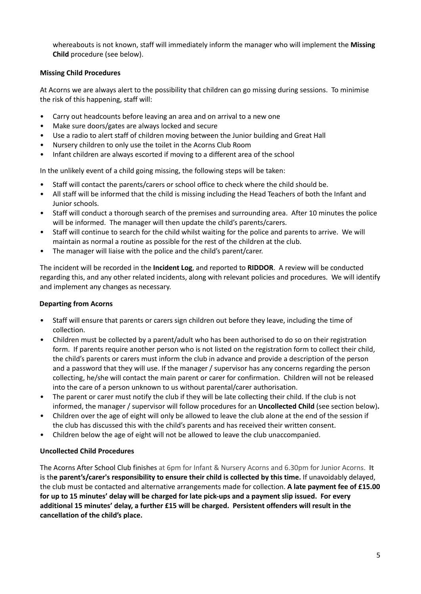whereabouts is not known, staff will immediately inform the manager who will implement the **Missing Child** procedure (see below).

# **Missing Child Procedures**

At Acorns we are always alert to the possibility that children can go missing during sessions. To minimise the risk of this happening, staff will:

- Carry out headcounts before leaving an area and on arrival to a new one
- Make sure doors/gates are always locked and secure
- Use a radio to alert staff of children moving between the Junior building and Great Hall
- Nursery children to only use the toilet in the Acorns Club Room
- Infant children are always escorted if moving to a different area of the school

In the unlikely event of a child going missing, the following steps will be taken:

- Staff will contact the parents/carers or school office to check where the child should be.
- All staff will be informed that the child is missing including the Head Teachers of both the Infant and Junior schools.
- Staff will conduct a thorough search of the premises and surrounding area. After 10 minutes the police will be informed. The manager will then update the child's parents/carers.
- Staff will continue to search for the child whilst waiting for the police and parents to arrive. We will maintain as normal a routine as possible for the rest of the children at the club.
- The manager will liaise with the police and the child's parent/carer.

The incident will be recorded in the **Incident Log**, and reported to **RIDDOR**. A review will be conducted regarding this, and any other related incidents, along with relevant policies and procedures. We will identify and implement any changes as necessary.

# **Departing from Acorns**

- Staff will ensure that parents or carers sign children out before they leave, including the time of collection.
- Children must be collected by a parent/adult who has been authorised to do so on their registration form. If parents require another person who is not listed on the registration form to collect their child, the child's parents or carers must inform the club in advance and provide a description of the person and a password that they will use. If the manager / supervisor has any concerns regarding the person collecting, he/she will contact the main parent or carer for confirmation. Children will not be released into the care of a person unknown to us without parental/carer authorisation.
- The parent or carer must notify the club if they will be late collecting their child. If the club is not informed, the manager / supervisor will follow procedures for an **Uncollected Child** (see section below)**.**
- Children over the age of eight will only be allowed to leave the club alone at the end of the session if the club has discussed this with the child's parents and has received their written consent.
- Children below the age of eight will not be allowed to leave the club unaccompanied.

# **Uncollected Child Procedures**

The Acorns After School Club finishes at 6pm for Infant & Nursery Acorns and 6.30pm for Junior Acorns. **It is the parent's/carer's responsibility to ensure their child is collected by this time.** If unavoidably delayed, the club must be contacted and alternative arrangements made for collection. **A late payment fee of £15.00** for up to 15 minutes' delay will be charged for late pick-ups and a payment slip issued. For every **additional 15 minutes' delay, a further £15 will be charged. Persistent offenders will result in the cancellation of the child's place.**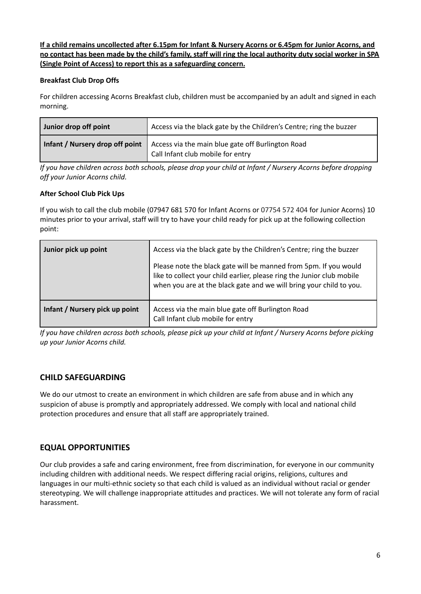If a child remains uncollected after 6.15pm for Infant & Nursery Acorns or 6.45pm for Junior Acorns, and no contact has been made by the child's family, staff will ring the local authority duty social worker in SPA **(Single Point of Access) to report this as a safeguarding concern.**

# **Breakfast Club Drop Offs**

For children accessing Acorns Breakfast club, children must be accompanied by an adult and signed in each morning.

| Junior drop off point | Access via the black gate by the Children's Centre; ring the buzzer                                                        |
|-----------------------|----------------------------------------------------------------------------------------------------------------------------|
|                       | Infant / Nursery drop off point   Access via the main blue gate off Burlington Road<br>I Call Infant club mobile for entry |

If you have children across both schools, please drop your child at Infant / Nursery Acorns before dropping *off your Junior Acorns child.*

# **After School Club Pick Ups**

If you wish to call the club mobile (07947 681 570 for Infant Acorns or 07754 572 404 for Junior Acorns) 10 minutes prior to your arrival, staff will try to have your child ready for pick up at the following collection point:

| Junior pick up point           | Access via the black gate by the Children's Centre; ring the buzzer<br>Please note the black gate will be manned from 5pm. If you would       |  |
|--------------------------------|-----------------------------------------------------------------------------------------------------------------------------------------------|--|
|                                | like to collect your child earlier, please ring the Junior club mobile<br>when you are at the black gate and we will bring your child to you. |  |
| Infant / Nursery pick up point | Access via the main blue gate off Burlington Road<br>Call Infant club mobile for entry                                                        |  |

If you have children across both schools, please pick up your child at Infant / Nursery Acorns before picking *up your Junior Acorns child.*

# **CHILD SAFEGUARDING**

We do our utmost to create an environment in which children are safe from abuse and in which any suspicion of abuse is promptly and appropriately addressed. We comply with local and national child protection procedures and ensure that all staff are appropriately trained.

# **EQUAL OPPORTUNITIES**

Our club provides a safe and caring environment, free from discrimination, for everyone in our community including children with additional needs. We respect differing racial origins, religions, cultures and languages in our multi-ethnic society so that each child is valued as an individual without racial or gender stereotyping. We will challenge inappropriate attitudes and practices. We will not tolerate any form of racial harassment.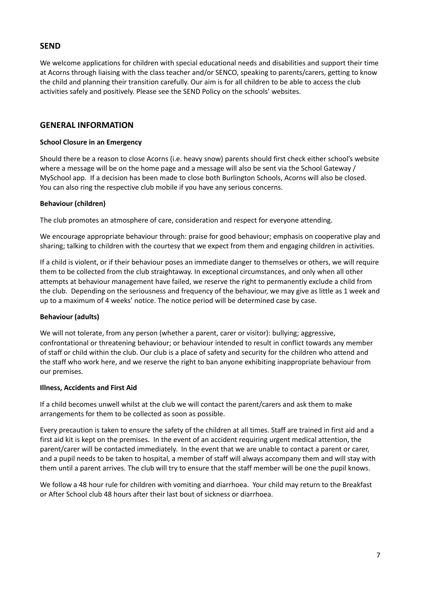# **SEND**

We welcome applications for children with special educational needs and disabilities and support their time at Acorns through liaising with the class teacher and/or SENCO, speaking to parents/carers, getting to know the child and planning their transition carefully. Our aim is for all children to be able to access the club activities safely and positively. Please see the SEND Policy on the schools' websites.

# **GENERAL INFORMATION**

#### **School Closure in an Emergency**

Should there be a reason to close Acorns (i.e. heavy snow) parents should first check either school's website where a message will be on the home page and a message will also be sent via the School Gateway / MySchool app. If a decision has been made to close both Burlington Schools, Acorns will also be closed. You can also ring the respective club mobile if you have any serious concerns.

#### **Behaviour (children)**

The club promotes an atmosphere of care, consideration and respect for everyone attending.

We encourage appropriate behaviour through: praise for good behaviour; emphasis on cooperative play and sharing; talking to children with the courtesy that we expect from them and engaging children in activities.

If a child is violent, or if their behaviour poses an immediate danger to themselves or others, we will require them to be collected from the club straightaway. In exceptional circumstances, and only when all other attempts at behaviour management have failed, we reserve the right to permanently exclude a child from the club. Depending on the seriousness and frequency of the behaviour, we may give as little as 1 week and up to a maximum of 4 weeks' notice. The notice period will be determined case by case.

#### **Behaviour (adults)**

We will not tolerate, from any person (whether a parent, carer or visitor): bullying; aggressive, confrontational or threatening behaviour; or behaviour intended to result in conflict towards any member of staff or child within the club. Our club is a place of safety and security for the children who attend and the staff who work here, and we reserve the right to ban anyone exhibiting inappropriate behaviour from our premises.

#### **Illness, Accidents and First Aid**

If a child becomes unwell whilst at the club we will contact the parent/carers and ask them to make arrangements for them to be collected as soon as possible.

Every precaution is taken to ensure the safety of the children at all times. Staff are trained in first aid and a first aid kit is kept on the premises. In the event of an accident requiring urgent medical attention, the parent/carer will be contacted immediately. In the event that we are unable to contact a parent or carer, and a pupil needs to be taken to hospital, a member of staff will always accompany them and will stay with them until a parent arrives. The club will try to ensure that the staff member will be one the pupil knows.

We follow a 48 hour rule for children with vomiting and diarrhoea. Your child may return to the Breakfast or After School club 48 hours after their last bout of sickness or diarrhoea.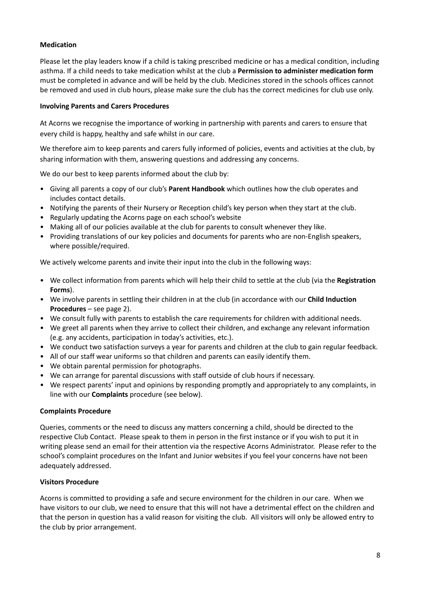# **Medication**

Please let the play leaders know if a child is taking prescribed medicine or has a medical condition, including asthma. If a child needs to take medication whilst at the club a **Permission to administer medication form** must be completed in advance and will be held by the club. Medicines stored in the schools offices cannot be removed and used in club hours, please make sure the club has the correct medicines for club use only.

#### **Involving Parents and Carers Procedures**

At Acorns we recognise the importance of working in partnership with parents and carers to ensure that every child is happy, healthy and safe whilst in our care.

We therefore aim to keep parents and carers fully informed of policies, events and activities at the club, by sharing information with them, answering questions and addressing any concerns.

We do our best to keep parents informed about the club by:

- Giving all parents a copy of our club's **Parent Handbook** which outlines how the club operates and includes contact details.
- Notifying the parents of their Nursery or Reception child's key person when they start at the club.
- Regularly updating the Acorns page on each school's website
- Making all of our policies available at the club for parents to consult whenever they like.
- Providing translations of our key policies and documents for parents who are non-English speakers, where possible/required.

We actively welcome parents and invite their input into the club in the following ways:

- We collect information from parents which will help their child to settle at the club (via the **Registration Forms**).
- We involve parents in settling their children in at the club (in accordance with our **Child Induction Procedures** – see page 2).
- We consult fully with parents to establish the care requirements for children with additional needs.
- We greet all parents when they arrive to collect their children, and exchange any relevant information (e.g. any accidents, participation in today's activities, etc.).
- We conduct two satisfaction surveys a year for parents and children at the club to gain regular feedback.
- All of our staff wear uniforms so that children and parents can easily identify them.
- We obtain parental permission for photographs.
- We can arrange for parental discussions with staff outside of club hours if necessary.
- We respect parents' input and opinions by responding promptly and appropriately to any complaints, in line with our **Complaints** procedure (see below).

#### **Complaints Procedure**

Queries, comments or the need to discuss any matters concerning a child, should be directed to the respective Club Contact. Please speak to them in person in the first instance or if you wish to put it in writing please send an email for their attention via the respective Acorns Administrator. Please refer to the school's complaint procedures on the Infant and Junior websites if you feel your concerns have not been adequately addressed.

#### **Visitors Procedure**

Acorns is committed to providing a safe and secure environment for the children in our care. When we have visitors to our club, we need to ensure that this will not have a detrimental effect on the children and that the person in question has a valid reason for visiting the club. All visitors will only be allowed entry to the club by prior arrangement.